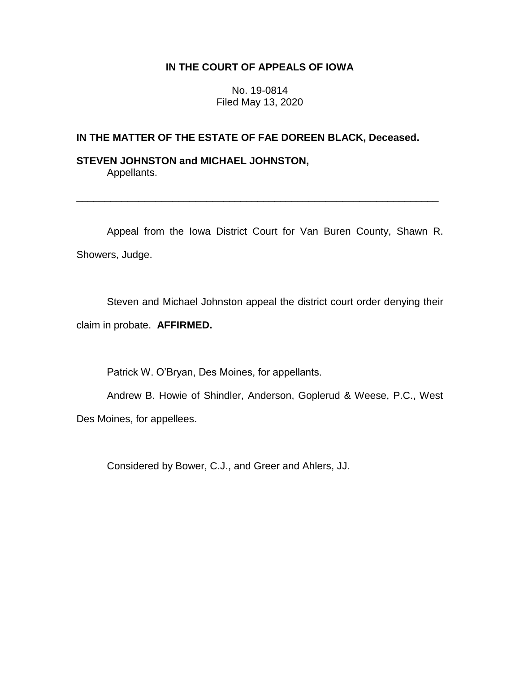# **IN THE COURT OF APPEALS OF IOWA**

No. 19-0814 Filed May 13, 2020

# **IN THE MATTER OF THE ESTATE OF FAE DOREEN BLACK, Deceased.**

## **STEVEN JOHNSTON and MICHAEL JOHNSTON,** Appellants.

Appeal from the Iowa District Court for Van Buren County, Shawn R. Showers, Judge.

\_\_\_\_\_\_\_\_\_\_\_\_\_\_\_\_\_\_\_\_\_\_\_\_\_\_\_\_\_\_\_\_\_\_\_\_\_\_\_\_\_\_\_\_\_\_\_\_\_\_\_\_\_\_\_\_\_\_\_\_\_\_\_\_

Steven and Michael Johnston appeal the district court order denying their claim in probate. **AFFIRMED.**

Patrick W. O'Bryan, Des Moines, for appellants.

Andrew B. Howie of Shindler, Anderson, Goplerud & Weese, P.C., West Des Moines, for appellees.

Considered by Bower, C.J., and Greer and Ahlers, JJ.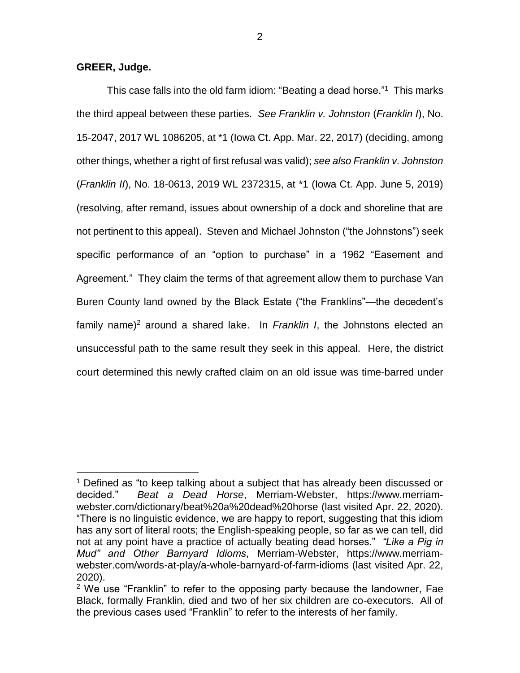**GREER, Judge.**

 $\overline{a}$ 

This case falls into the old farm idiom: "Beating a dead horse."<sup>1</sup> This marks the third appeal between these parties. *See Franklin v. Johnston* (*Franklin I*), No. 15-2047, 2017 WL 1086205, at \*1 (Iowa Ct. App. Mar. 22, 2017) (deciding, among other things, whether a right of first refusal was valid); *see also Franklin v. Johnston* (*Franklin II*), No. 18-0613, 2019 WL 2372315, at \*1 (Iowa Ct. App. June 5, 2019) (resolving, after remand, issues about ownership of a dock and shoreline that are not pertinent to this appeal). Steven and Michael Johnston ("the Johnstons") seek specific performance of an "option to purchase" in a 1962 "Easement and Agreement." They claim the terms of that agreement allow them to purchase Van Buren County land owned by the Black Estate ("the Franklins"—the decedent's family name)<sup>2</sup> around a shared lake. In *Franklin I*, the Johnstons elected an unsuccessful path to the same result they seek in this appeal. Here, the district court determined this newly crafted claim on an old issue was time-barred under

<sup>&</sup>lt;sup>1</sup> Defined as "to keep talking about a subject that has already been discussed or decided." *Beat a Dead Horse*, Merriam-Webster, https://www.merriamwebster.com/dictionary/beat%20a%20dead%20horse (last visited Apr. 22, 2020). "There is no linguistic evidence, we are happy to report, suggesting that this idiom has any sort of literal roots; the English-speaking people, so far as we can tell, did not at any point have a practice of actually beating dead horses." *"Like a Pig in Mud" and Other Barnyard Idioms*, Merriam-Webster, https://www.merriamwebster.com/words-at-play/a-whole-barnyard-of-farm-idioms (last visited Apr. 22, 2020).

 $2$  We use "Franklin" to refer to the opposing party because the landowner, Fae Black, formally Franklin, died and two of her six children are co-executors. All of the previous cases used "Franklin" to refer to the interests of her family.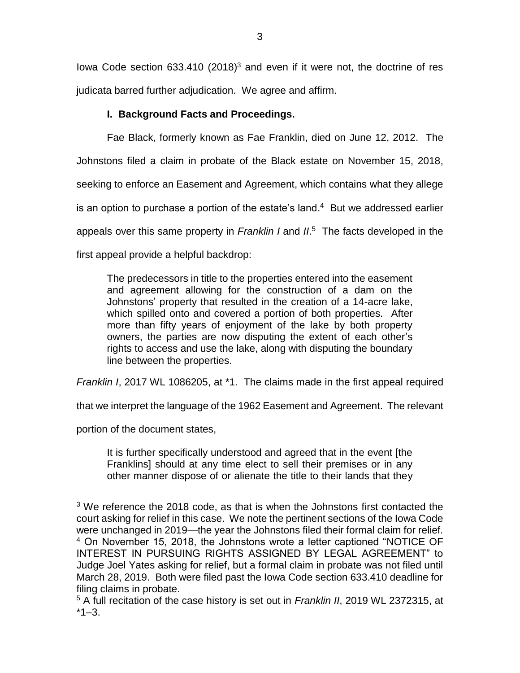Iowa Code section  $633.410$  (2018)<sup>3</sup> and even if it were not, the doctrine of res judicata barred further adjudication. We agree and affirm.

# **I. Background Facts and Proceedings.**

Fae Black, formerly known as Fae Franklin, died on June 12, 2012. The Johnstons filed a claim in probate of the Black estate on November 15, 2018, seeking to enforce an Easement and Agreement, which contains what they allege is an option to purchase a portion of the estate's land. 4 But we addressed earlier appeals over this same property in *Franklin I* and *II*. 5 The facts developed in the first appeal provide a helpful backdrop:

The predecessors in title to the properties entered into the easement and agreement allowing for the construction of a dam on the Johnstons' property that resulted in the creation of a 14-acre lake, which spilled onto and covered a portion of both properties. After more than fifty years of enjoyment of the lake by both property owners, the parties are now disputing the extent of each other's rights to access and use the lake, along with disputing the boundary line between the properties.

*Franklin I*, 2017 WL 1086205, at \*1. The claims made in the first appeal required

that we interpret the language of the 1962 Easement and Agreement. The relevant

portion of the document states,

 $\overline{a}$ 

It is further specifically understood and agreed that in the event [the Franklins] should at any time elect to sell their premises or in any other manner dispose of or alienate the title to their lands that they

<sup>&</sup>lt;sup>3</sup> We reference the 2018 code, as that is when the Johnstons first contacted the court asking for relief in this case. We note the pertinent sections of the Iowa Code were unchanged in 2019—the year the Johnstons filed their formal claim for relief. <sup>4</sup> On November 15, 2018, the Johnstons wrote a letter captioned "NOTICE OF INTEREST IN PURSUING RIGHTS ASSIGNED BY LEGAL AGREEMENT" to Judge Joel Yates asking for relief, but a formal claim in probate was not filed until March 28, 2019. Both were filed past the Iowa Code section 633.410 deadline for filing claims in probate.

<sup>5</sup> A full recitation of the case history is set out in *Franklin II*, 2019 WL 2372315, at  $*1 - 3$ .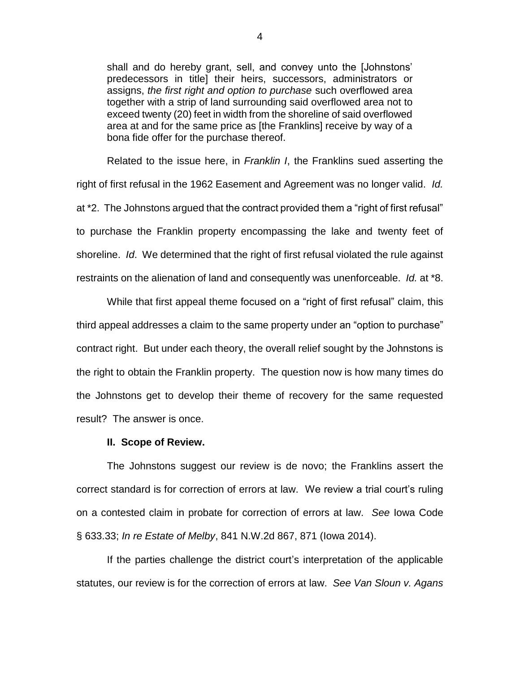shall and do hereby grant, sell, and convey unto the [Johnstons' predecessors in title] their heirs, successors, administrators or assigns, *the first right and option to purchase* such overflowed area together with a strip of land surrounding said overflowed area not to exceed twenty (20) feet in width from the shoreline of said overflowed area at and for the same price as [the Franklins] receive by way of a bona fide offer for the purchase thereof.

Related to the issue here, in *Franklin I*, the Franklins sued asserting the right of first refusal in the 1962 Easement and Agreement was no longer valid. *Id.*  at \*2. The Johnstons argued that the contract provided them a "right of first refusal" to purchase the Franklin property encompassing the lake and twenty feet of shoreline. *Id*. We determined that the right of first refusal violated the rule against restraints on the alienation of land and consequently was unenforceable. *Id.* at \*8.

While that first appeal theme focused on a "right of first refusal" claim, this third appeal addresses a claim to the same property under an "option to purchase" contract right. But under each theory, the overall relief sought by the Johnstons is the right to obtain the Franklin property. The question now is how many times do the Johnstons get to develop their theme of recovery for the same requested result? The answer is once.

#### **II. Scope of Review.**

The Johnstons suggest our review is de novo; the Franklins assert the correct standard is for correction of errors at law. We review a trial court's ruling on a contested claim in probate for correction of errors at law. *See* Iowa Code § 633.33; *In re Estate of Melby*, 841 N.W.2d 867, 871 (Iowa 2014).

If the parties challenge the district court's interpretation of the applicable statutes, our review is for the correction of errors at law. *See Van Sloun v. Agans*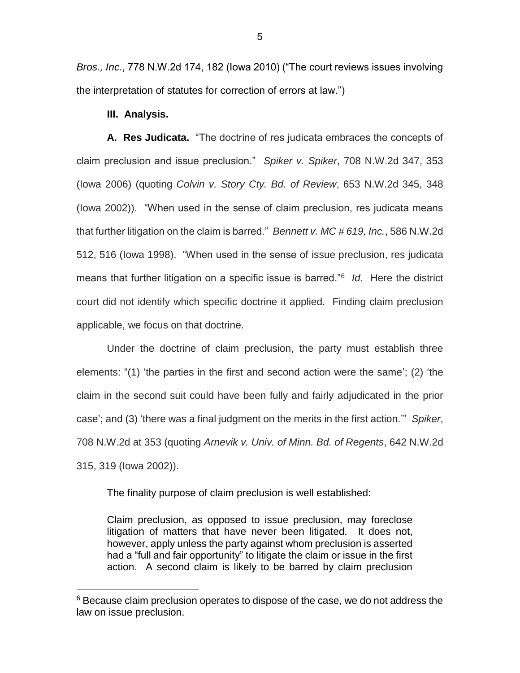*Bros., Inc.*, 778 N.W.2d 174, 182 (Iowa 2010) ("The court reviews issues involving the interpretation of statutes for correction of errors at law.")

### **III. Analysis.**

 $\overline{a}$ 

**A. Res Judicata.** "The doctrine of res judicata embraces the concepts of claim preclusion and issue preclusion." *Spiker v. Spiker*, 708 N.W.2d 347, 353 (Iowa 2006) (quoting *Colvin v. Story Cty. Bd. of Review*, 653 N.W.2d 345, 348 (Iowa 2002)). "When used in the sense of claim preclusion, res judicata means that further litigation on the claim is barred." *Bennett v. MC # 619, Inc.*, 586 N.W.2d 512, 516 (Iowa 1998). "When used in the sense of issue preclusion, res judicata means that further litigation on a specific issue is barred."<sup>6</sup> *Id.* Here the district court did not identify which specific doctrine it applied. Finding claim preclusion applicable, we focus on that doctrine.

Under the doctrine of claim preclusion, the party must establish three elements: "(1) 'the parties in the first and second action were the same'; (2) 'the claim in the second suit could have been fully and fairly adjudicated in the prior case'; and (3) 'there was a final judgment on the merits in the first action.'" *Spiker*, 708 N.W.2d at 353 (quoting *Arnevik v. Univ. of Minn. Bd. of Regents*, 642 N.W.2d 315, 319 (Iowa 2002)).

The finality purpose of claim preclusion is well established:

Claim preclusion, as opposed to issue preclusion, may foreclose litigation of matters that have never been litigated*.* It does not, however, apply unless the party against whom preclusion is asserted had a "full and fair opportunity" to litigate the claim or issue in the first action. A second claim is likely to be barred by claim preclusion

<sup>&</sup>lt;sup>6</sup> Because claim preclusion operates to dispose of the case, we do not address the law on issue preclusion.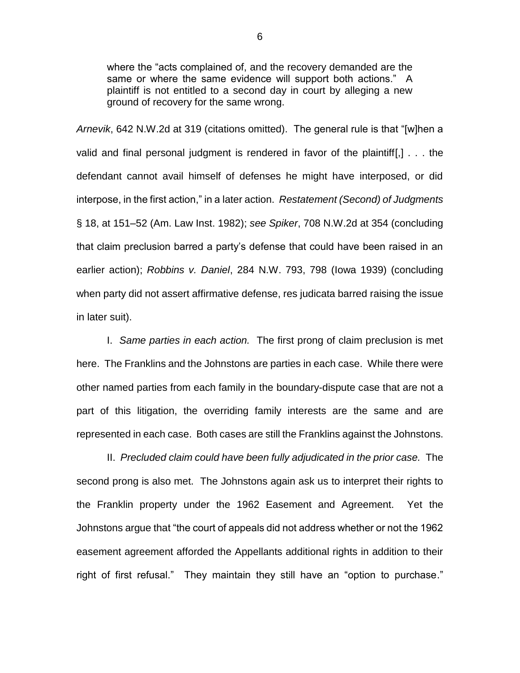where the "acts complained of, and the recovery demanded are the same or where the same evidence will support both actions." A plaintiff is not entitled to a second day in court by alleging a new ground of recovery for the same wrong.

*Arnevik*, 642 N.W.2d at 319 (citations omitted). The general rule is that "[w]hen a valid and final personal judgment is rendered in favor of the plaintiff[,] . . . the defendant cannot avail himself of defenses he might have interposed, or did interpose, in the first action," in a later action. *Restatement (Second) of Judgments* § 18, at 151–52 (Am. Law Inst. 1982); *see Spiker*, 708 N.W.2d at 354 (concluding that claim preclusion barred a party's defense that could have been raised in an earlier action); *Robbins v. Daniel*, 284 N.W. 793, 798 (Iowa 1939) (concluding when party did not assert affirmative defense, res judicata barred raising the issue in later suit).

I. *Same parties in each action.* The first prong of claim preclusion is met here. The Franklins and the Johnstons are parties in each case. While there were other named parties from each family in the boundary-dispute case that are not a part of this litigation, the overriding family interests are the same and are represented in each case. Both cases are still the Franklins against the Johnstons.

II. *Precluded claim could have been fully adjudicated in the prior case.* The second prong is also met. The Johnstons again ask us to interpret their rights to the Franklin property under the 1962 Easement and Agreement. Yet the Johnstons argue that "the court of appeals did not address whether or not the 1962 easement agreement afforded the Appellants additional rights in addition to their right of first refusal." They maintain they still have an "option to purchase."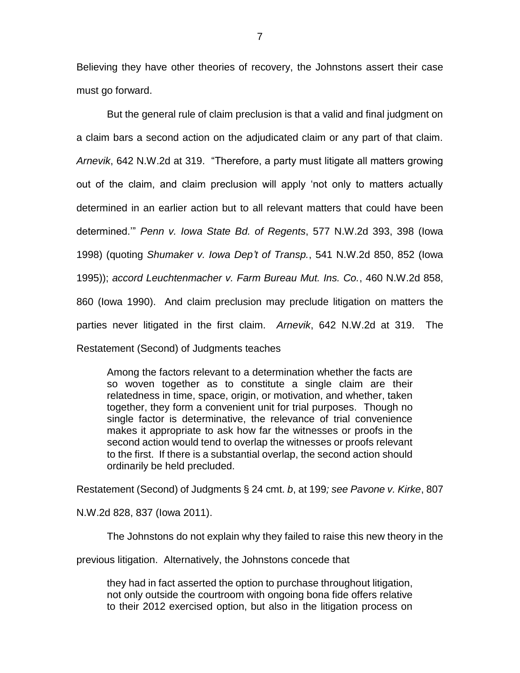Believing they have other theories of recovery, the Johnstons assert their case must go forward.

But the general rule of claim preclusion is that a valid and final judgment on a claim bars a second action on the adjudicated claim or any part of that claim. *Arnevik*, 642 N.W.2d at 319. "Therefore, a party must litigate all matters growing out of the claim, and claim preclusion will apply 'not only to matters actually determined in an earlier action but to all relevant matters that could have been determined.'" *Penn v. Iowa State Bd. of Regents*, 577 N.W.2d 393, 398 (Iowa 1998) (quoting *Shumaker v. Iowa Dep't of Transp.*, 541 N.W.2d 850, 852 (Iowa 1995)); *accord Leuchtenmacher v. Farm Bureau Mut. Ins. Co.*, 460 N.W.2d 858, 860 (Iowa 1990). And claim preclusion may preclude litigation on matters the parties never litigated in the first claim. *Arnevik*, 642 N.W.2d at 319. The Restatement (Second) of Judgments teaches

Among the factors relevant to a determination whether the facts are so woven together as to constitute a single claim are their relatedness in time, space, origin, or motivation, and whether, taken together, they form a convenient unit for trial purposes. Though no single factor is determinative, the relevance of trial convenience makes it appropriate to ask how far the witnesses or proofs in the second action would tend to overlap the witnesses or proofs relevant to the first. If there is a substantial overlap, the second action should ordinarily be held precluded.

Restatement (Second) of Judgments § 24 cmt. *b*, at 199*; see Pavone v. Kirke*, 807

N.W.2d 828, 837 (Iowa 2011).

The Johnstons do not explain why they failed to raise this new theory in the

previous litigation. Alternatively, the Johnstons concede that

they had in fact asserted the option to purchase throughout litigation, not only outside the courtroom with ongoing bona fide offers relative to their 2012 exercised option, but also in the litigation process on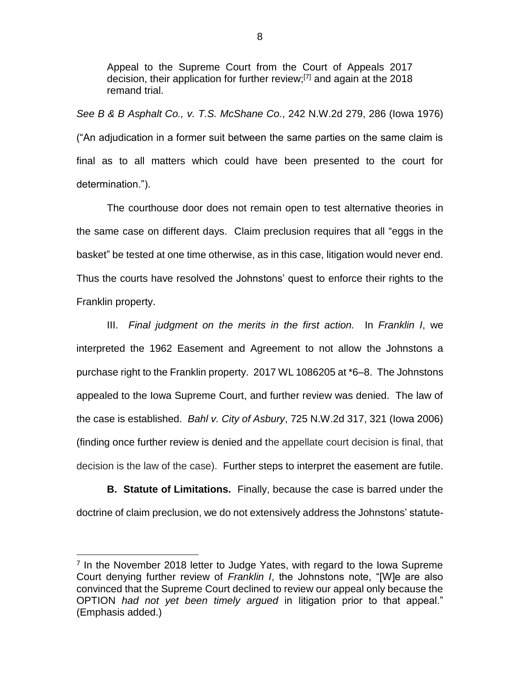Appeal to the Supreme Court from the Court of Appeals 2017 decision, their application for further review;[7] and again at the 2018 remand trial.

*See B & B Asphalt Co., v. T.S. McShane Co.*, 242 N.W.2d 279, 286 (Iowa 1976) ("An adjudication in a former suit between the same parties on the same claim is final as to all matters which could have been presented to the court for determination.").

The courthouse door does not remain open to test alternative theories in the same case on different days. Claim preclusion requires that all "eggs in the basket" be tested at one time otherwise, as in this case, litigation would never end. Thus the courts have resolved the Johnstons' quest to enforce their rights to the Franklin property.

III. *Final judgment on the merits in the first action.* In *Franklin I*, we interpreted the 1962 Easement and Agreement to not allow the Johnstons a purchase right to the Franklin property. 2017 WL 1086205 at \*6–8. The Johnstons appealed to the Iowa Supreme Court, and further review was denied. The law of the case is established. *Bahl v. City of Asbury*, 725 N.W.2d 317, 321 (Iowa 2006) (finding once further review is denied and the appellate court decision is final, that decision is the law of the case). Further steps to interpret the easement are futile.

**B. Statute of Limitations.** Finally, because the case is barred under the doctrine of claim preclusion, we do not extensively address the Johnstons' statute-

 $\overline{a}$ 

<sup>&</sup>lt;sup>7</sup> In the November 2018 letter to Judge Yates, with regard to the Iowa Supreme Court denying further review of *Franklin I*, the Johnstons note, "[W]e are also convinced that the Supreme Court declined to review our appeal only because the OPTION *had not yet been timely argued* in litigation prior to that appeal." (Emphasis added.)